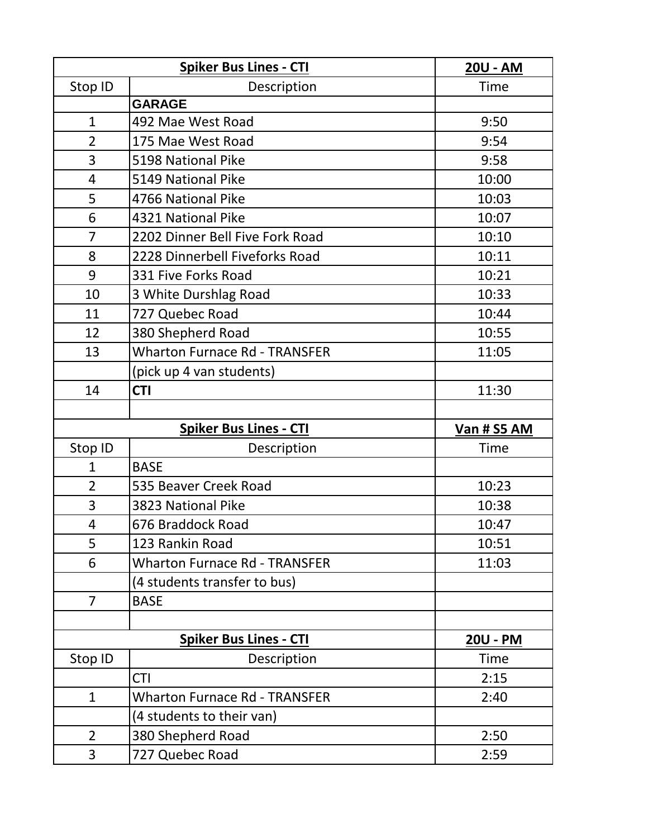|                | <b>Spiker Bus Lines - CTI</b>        | 20U - AM    |
|----------------|--------------------------------------|-------------|
| Stop ID        | Description                          | Time        |
|                | <b>GARAGE</b>                        |             |
| $\mathbf{1}$   | 492 Mae West Road                    | 9:50        |
| $\overline{2}$ | 175 Mae West Road                    | 9:54        |
| 3              | 5198 National Pike                   | 9:58        |
| 4              | 5149 National Pike                   | 10:00       |
| 5              | 4766 National Pike                   | 10:03       |
| 6              | 4321 National Pike                   | 10:07       |
| $\overline{7}$ | 2202 Dinner Bell Five Fork Road      | 10:10       |
| 8              | 2228 Dinnerbell Fiveforks Road       | 10:11       |
| 9              | 331 Five Forks Road                  | 10:21       |
| 10             | 3 White Durshlag Road                | 10:33       |
| 11             | 727 Quebec Road                      | 10:44       |
| 12             | 380 Shepherd Road                    | 10:55       |
| 13             | <b>Wharton Furnace Rd - TRANSFER</b> | 11:05       |
|                | (pick up 4 van students)             |             |
| 14             | <b>CTI</b>                           | 11:30       |
|                |                                      |             |
|                |                                      |             |
|                | <b>Spiker Bus Lines - CTI</b>        | Van # S5 AM |
| Stop ID        | Description                          | Time        |
| $\mathbf{1}$   | <b>BASE</b>                          |             |
| $\overline{2}$ | 535 Beaver Creek Road                | 10:23       |
| 3              | 3823 National Pike                   | 10:38       |
| 4              | 676 Braddock Road                    | 10:47       |
| 5              | 123 Rankin Road                      | 10:51       |
| 6              | <b>Wharton Furnace Rd - TRANSFER</b> | 11:03       |
|                | (4 students transfer to bus)         |             |
| $\overline{7}$ | <b>BASE</b>                          |             |
|                |                                      |             |
|                | <b>Spiker Bus Lines - CTI</b>        | 20U - PM    |
| Stop ID        | Description                          | Time        |
|                | <b>CTI</b>                           | 2:15        |
| $\mathbf{1}$   | <b>Wharton Furnace Rd - TRANSFER</b> | 2:40        |
|                | (4 students to their van)            |             |
| $\overline{2}$ | 380 Shepherd Road                    | 2:50        |